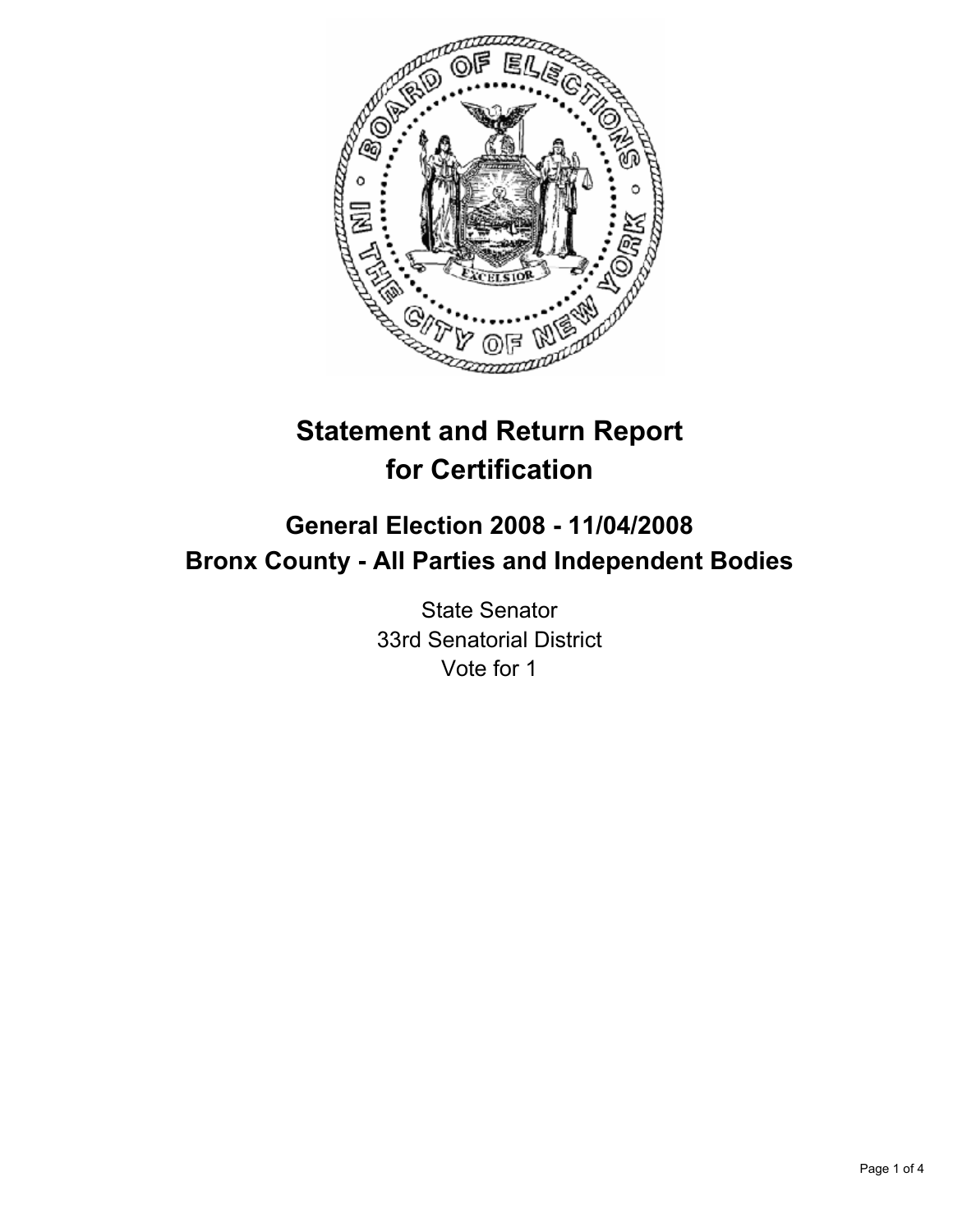

# **Statement and Return Report for Certification**

## **General Election 2008 - 11/04/2008 Bronx County - All Parties and Independent Bodies**

State Senator 33rd Senatorial District Vote for 1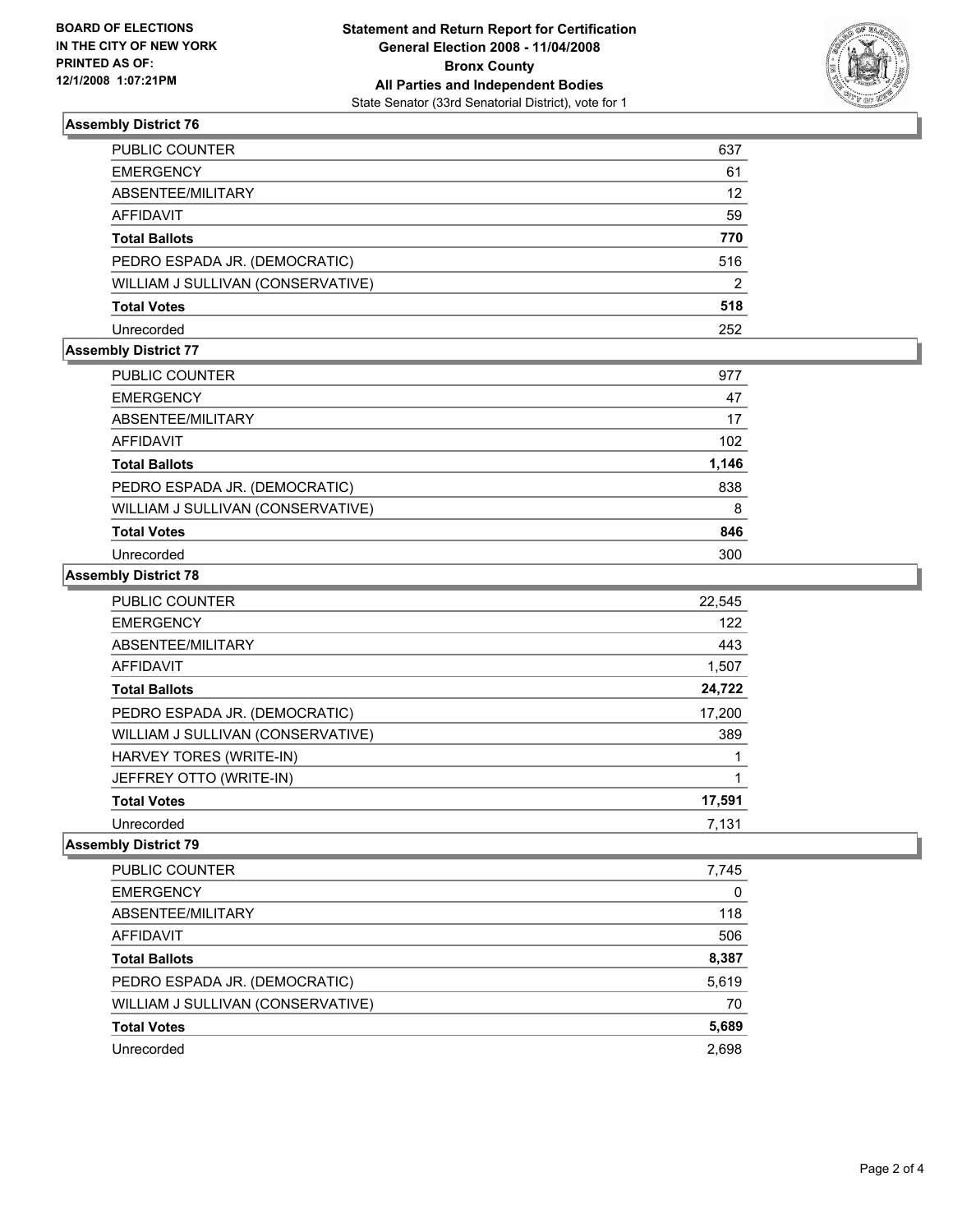

#### **Assembly District 76**

| PUBLIC COUNTER                    | 637            |
|-----------------------------------|----------------|
| EMERGENCY                         | 61             |
| ABSENTEE/MILITARY                 | 12             |
| AFFIDAVIT                         | 59             |
| Total Ballots                     | 770            |
| PEDRO ESPADA JR. (DEMOCRATIC)     | 516            |
| WILLIAM J SULLIVAN (CONSERVATIVE) | $\overline{2}$ |
| Total Votes                       | 518            |
| Unrecorded                        | 252            |

### **Assembly District 77**

| <b>PUBLIC COUNTER</b>             | 977   |
|-----------------------------------|-------|
| <b>EMERGENCY</b>                  | 47    |
| ABSENTEE/MILITARY                 | 17    |
| AFFIDAVIT                         | 102   |
| <b>Total Ballots</b>              | 1,146 |
| PEDRO ESPADA JR. (DEMOCRATIC)     | 838   |
| WILLIAM J SULLIVAN (CONSERVATIVE) | 8     |
| <b>Total Votes</b>                | 846   |
| Unrecorded                        | 300   |

#### **Assembly District 78**

| <b>PUBLIC COUNTER</b>             | 22,545 |
|-----------------------------------|--------|
| <b>EMERGENCY</b>                  | 122    |
| ABSENTEE/MILITARY                 | 443    |
| <b>AFFIDAVIT</b>                  | 1,507  |
| <b>Total Ballots</b>              | 24,722 |
| PEDRO ESPADA JR. (DEMOCRATIC)     | 17,200 |
| WILLIAM J SULLIVAN (CONSERVATIVE) | 389    |
| HARVEY TORES (WRITE-IN)           |        |
| JEFFREY OTTO (WRITE-IN)           |        |
| <b>Total Votes</b>                | 17,591 |
| Unrecorded                        | 7.131  |

#### **Assembly District 79**

| PUBLIC COUNTER                    | 7,745 |
|-----------------------------------|-------|
| <b>EMERGENCY</b>                  | 0     |
| ABSENTEE/MILITARY                 | 118   |
| <b>AFFIDAVIT</b>                  | 506   |
| <b>Total Ballots</b>              | 8,387 |
| PEDRO ESPADA JR. (DEMOCRATIC)     | 5,619 |
| WILLIAM J SULLIVAN (CONSERVATIVE) | 70    |
| <b>Total Votes</b>                | 5,689 |
| Unrecorded                        | 2,698 |
|                                   |       |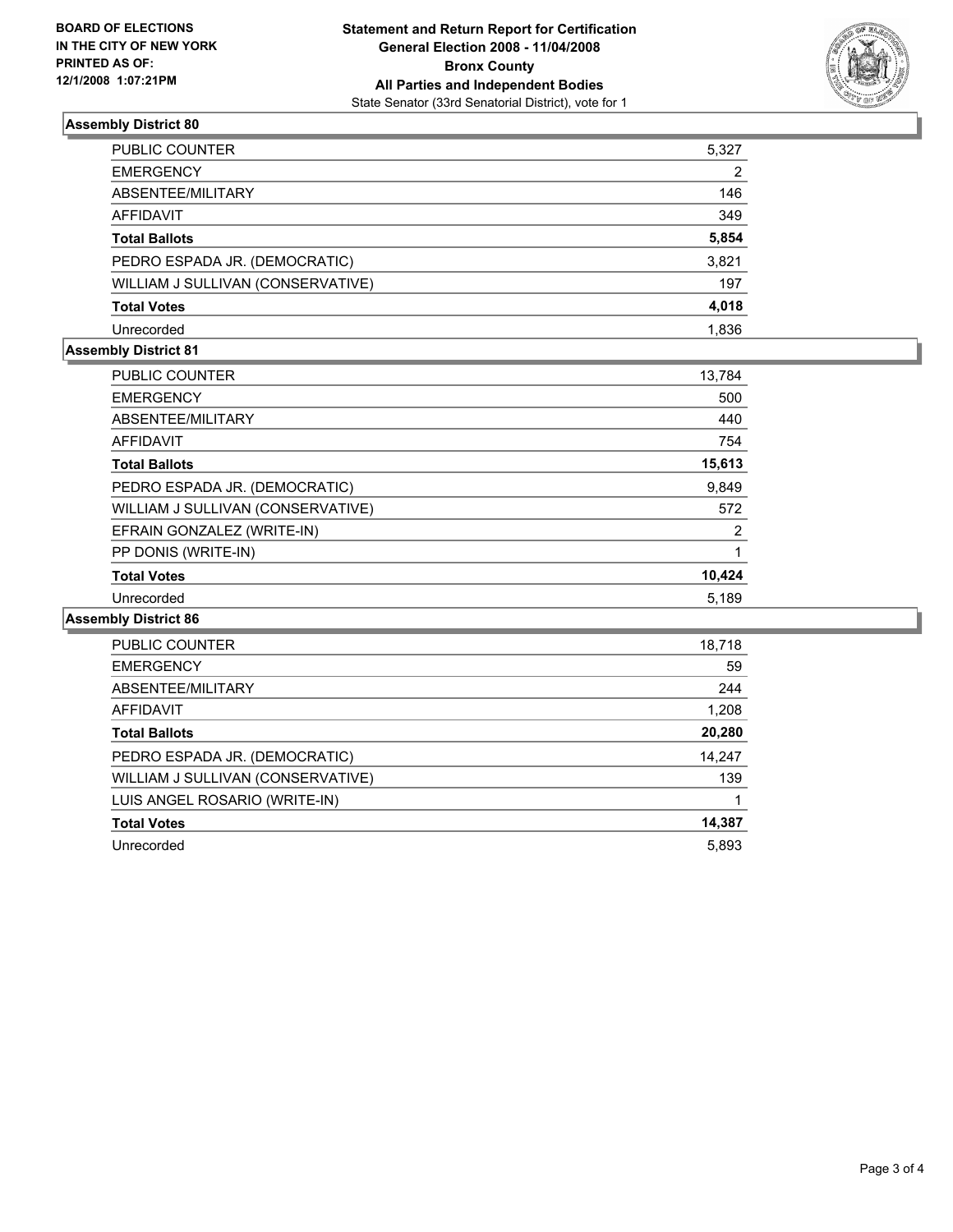

#### **Assembly District 80**

| PUBLIC COUNTER                    | 5,327 |
|-----------------------------------|-------|
| EMERGENCY                         | 2     |
| ABSENTEE/MILITARY                 | 146   |
| AFFIDAVIT                         | 349   |
| Total Ballots                     | 5,854 |
| PEDRO ESPADA JR. (DEMOCRATIC)     | 3,821 |
| WILLIAM J SULLIVAN (CONSERVATIVE) | 197   |
| Total Votes                       | 4,018 |
| Unrecorded                        | 1.836 |

### **Assembly District 81**

| PUBLIC COUNTER                    | 13,784 |  |
|-----------------------------------|--------|--|
| <b>EMERGENCY</b>                  | 500    |  |
| ABSENTEE/MILITARY                 | 440    |  |
| <b>AFFIDAVIT</b>                  | 754    |  |
| <b>Total Ballots</b>              | 15,613 |  |
| PEDRO ESPADA JR. (DEMOCRATIC)     | 9,849  |  |
| WILLIAM J SULLIVAN (CONSERVATIVE) | 572    |  |
| EFRAIN GONZALEZ (WRITE-IN)        | 2      |  |
| PP DONIS (WRITE-IN)               |        |  |
| <b>Total Votes</b>                | 10,424 |  |
| Unrecorded                        | 5.189  |  |

#### **Assembly District 86**

| PUBLIC COUNTER                    | 18,718 |
|-----------------------------------|--------|
| <b>EMERGENCY</b>                  | 59     |
| ABSENTEE/MILITARY                 | 244    |
| <b>AFFIDAVIT</b>                  | 1,208  |
| <b>Total Ballots</b>              | 20,280 |
| PEDRO ESPADA JR. (DEMOCRATIC)     | 14,247 |
| WILLIAM J SULLIVAN (CONSERVATIVE) | 139    |
| LUIS ANGEL ROSARIO (WRITE-IN)     |        |
| <b>Total Votes</b>                | 14,387 |
| Unrecorded                        | 5,893  |